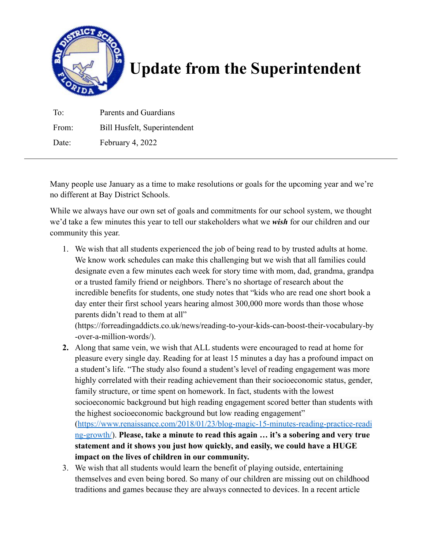

## **Update from the Superintendent**

| To <sup>-</sup> | Parents and Guardians        |
|-----------------|------------------------------|
| From:           | Bill Husfelt, Superintendent |
| Date:           | February 4, 2022             |

Many people use January as a time to make resolutions or goals for the upcoming year and we're no different at Bay District Schools.

While we always have our own set of goals and commitments for our school system, we thought we'd take a few minutes this year to tell our stakeholders what we *wish* for our children and our community this year.

1. We wish that all students experienced the job of being read to by trusted adults at home. We know work schedules can make this challenging but we wish that all families could designate even a few minutes each week for story time with mom, dad, grandma, grandpa or a trusted family friend or neighbors. There's no shortage of research about the incredible benefits for students, one study notes that "kids who are read one short book a day enter their first school years hearing almost 300,000 more words than those whose parents didn't read to them at all"

(https://forreadingaddicts.co.uk/news/reading-to-your-kids-can-boost-their-vocabulary-by -over-a-million-words/).

- **2.** Along that same vein, we wish that ALL students were encouraged to read at home for pleasure every single day. Reading for at least 15 minutes a day has a profound impact on a student's life. "The study also found a student's level of reading engagement was more highly correlated with their reading achievement than their socioeconomic status, gender, family structure, or time spent on homework. In fact, students with the lowest socioeconomic background but high reading engagement scored better than students with the highest socioeconomic background but low reading engagement" ([https://www.renaissance.com/2018/01/23/blog-magic-15-minutes-reading-practice-readi](https://www.renaissance.com/2018/01/23/blog-magic-15-minutes-reading-practice-reading-growth/) [ng-growth/](https://www.renaissance.com/2018/01/23/blog-magic-15-minutes-reading-practice-reading-growth/)). **Please, take a minute to read this again … it's a sobering and very true statement and it shows you just how quickly, and easily, we could have a HUGE impact on the lives of children in our community.**
- 3. We wish that all students would learn the benefit of playing outside, entertaining themselves and even being bored. So many of our children are missing out on childhood traditions and games because they are always connected to devices. In a recent article